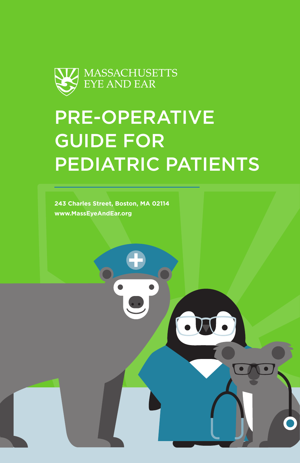

# PRE-OPERATIVE GUIDE FOR PEDIATRIC PATIENTS

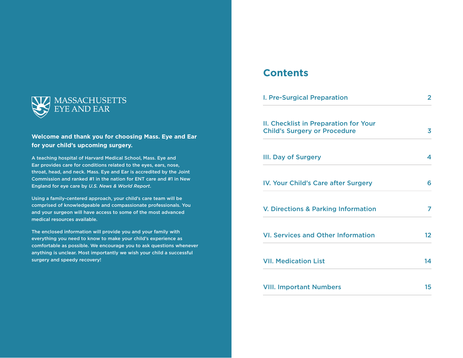

### **Welcome and thank you for choosing Mass. Eye and Ear for your child's upcoming surgery.**

A teaching hospital of Harvard Medical School, Mass. Eye and Ear provides care for conditions related to the eyes, ears, nose, throat, head, and neck. Mass. Eye and Ear is accredited by the Joint Commission and ranked #1 in the nation for ENT care and #1 in New England for eye care by *U.S. News & World Report*.

Using a family-centered approach, your child's care team will be comprised of knowledgeable and compassionate professionals. You and your surgeon will have access to some of the most advanced medical resources available.

The enclosed information will provide you and your family with everything you need to know to make your child's experience as comfortable as possible. We encourage you to ask questions whenever anything is unclear. Most importantly we wish your child a successful surgery and speedy recovery!

# **Contents**

| <b>I. Pre-Surgical Preparation</b>                                           | $\mathbf{2}$      |
|------------------------------------------------------------------------------|-------------------|
| II. Checklist in Preparation for Your<br><b>Child's Surgery or Procedure</b> | 3                 |
| <b>III. Day of Surgery</b>                                                   | 4                 |
| <b>IV. Your Child's Care after Surgery</b>                                   | 6                 |
| <b>V. Directions &amp; Parking Information</b>                               | 7                 |
| <b>VI. Services and Other Information</b>                                    | $12 \overline{ }$ |
| <b>VII. Medication List</b>                                                  | 14                |
| <b>VIII. Important Numbers</b>                                               | 15                |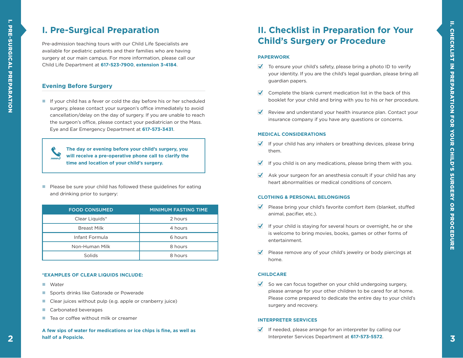# **I. Pre-Surgical Preparation**

Pre-admission teaching tours with our Child Life Specialists are available for pediatric patients and their families who are having surgery at our main campus. For more information, please call our Child Life Department at **617-523-7900**, **extension 3-4184**.

### **Evening Before Surgery**

If your child has a fever or cold the day before his or her scheduled surgery, please contact your surgeon's office immediately to avoid cancellation/delay on the day of surgery. If you are unable to reach the surgeon's office, please contact your pediatrician or the Mass. Eye and Ear Emergency Department at **617-573-3431** .

**The day or evening before your child's surgery, you will receive a pre-operative phone call to clarify the time and location of your child's surgery.**

Please be sure your child has followed these guidelines for eating and drinking prior to surgery:

| <b>FOOD CONSUMED</b> | <b>MINIMUM FASTING TIME</b> |  |
|----------------------|-----------------------------|--|
| Clear Liquids*       | 2 hours                     |  |
| <b>Breast Milk</b>   | 4 hours                     |  |
| Infant Formula       | 6 hours                     |  |
| Non-Human Milk       | 8 hours                     |  |
| Solids               | 8 hours                     |  |

### **\*EXAMPLES OF CLEAR LIQUIDS INCLUDE:**

- **Nater**
- Sports drinks like Gatorade or Powerade
- Clear juices without pulp (e.g. apple or cranberry juice)
- Carbonated beverages
- $\blacksquare$  Tea or coffee without milk or creamer

**A few sips of water for medications or ice chips is fine, as well as half of a Popsicle.**

# **II. Checklist in Preparation for Your Child's Surgery or Procedure**

### **PAPERWORK**

- $\blacktriangledown$  To ensure your child's safety, please bring a photo ID to verify your identity. If you are the child's legal guardian, please bring all guardian papers.
- $\blacktriangledown$  Complete the blank current medication list in the back of this booklet for your child and bring with you to his or her procedure.
- $\blacktriangleright$  Review and understand your health insurance plan. Contact your insurance company if you have any questions or concerns.

### **MEDICAL CONSIDERATIONS**

- $\blacktriangleright$  If your child has any inhalers or breathing devices, please bring them.
- If you child is on any medications, please bring them with you.
- $\blacktriangleright$  Ask your surgeon for an anesthesia consult if your child has any heart abnormalities or medical conditions of concern.

### **CLOTHING & PERSONAL BELONGINGS**

- $\blacktriangledown$  Please bring your child's favorite comfort item (blanket, stuffed animal, pacifier, etc.).
- $I$  If your child is staying for several hours or overnight, he or she is welcome to bring movies, books, games or other forms of entertainment.
- $\blacktriangledown$  Please remove any of your child's jewelry or body piercings at home.

### **CHILDCARE**

 $\blacktriangledown$  So we can focus together on your child undergoing surgery, please arrange for your other children to be cared for at home. Please come prepared to dedicate the entire day to your child's surgery and recovery.

### **INTERPRETER SERVICES**

If needed, please arrange for an interpreter by calling our Interpreter Services Department at **617-573-5572** .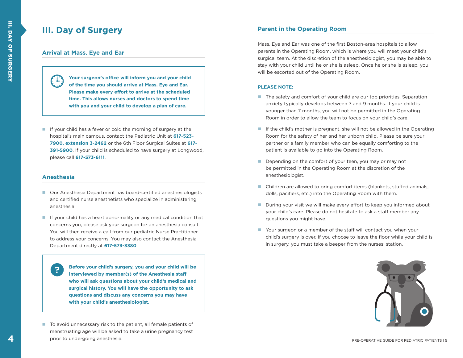# **III. Day of Surgery**

### **Arrival at Mass. Eye and Ear**

**Your surgeon's office will inform you and your child of the time you should arrive at Mass. Eye and Ear. Please make every effort to arrive at the scheduled time. This allows nurses and doctors to spend time with you and your child to develop a plan of care.** 

If your child has a fever or cold the morning of surgery at the hospital's main campus, contact the Pediatric Unit at **617-523- 7900, extension 3-2462** or the 6th Floor Surgical Suites at **617- 391-5900**. If your child is scheduled to have surgery at Longwood, please call **617-573-6111**.

### **Anesthesia**

**Anesthesia**

- Our Anesthesia Department has board-certified anesthesiologists and certified nurse anesthetists who specialize in administering anesthesia.
- If your child has a heart abnormality or any medical condition that concerns you, please ask your surgeon for an anesthesia consult. You will then receive a call from our pediatric Nurse Practitioner to address your concerns. You may also contact the Anesthesia Department directly at **617-573-3380**.

**Example 2 who will ask questions about your child's medical and** surgical history. You will have the opportunity to ask **questions and discuss any concerns you may have Before your child's surgery, you and your child will be interviewed by member(s) of the Anesthesia staff with your child's anesthesiologist.**

■ To avoid unnecessary risk to the patient, all female patients of menstruating age will be asked to take a urine pregnancy test prior to undergoing anesthesia.

### **Parent in the Operating Room**

Mass. Eye and Ear was one of the first Boston-area hospitals to allow parents in the Operating Room, which is where you will meet your child's surgical team. At the discretion of the anesthesiologist, you may be able to stay with your child until he or she is asleep. Once he or she is asleep, you will be escorted out of the Operating Room.

#### **PLEASE NOTE:**

- The safety and comfort of your child are our top priorities. Separation anxiety typically develops between 7 and 9 months. If your child is younger than 7 months, you will not be permitted in the Operating Room in order to allow the team to focus on your child's care.
- If the child's mother is pregnant, she will not be allowed in the Operating Room for the safety of her and her unborn child. Please be sure your partner or a family member who can be equally comforting to the patient is available to go into the Operating Room.
- Depending on the comfort of your teen, you may or may not be permitted in the Operating Room at the discretion of the anesthesiologist.
- Children are allowed to bring comfort items (blankets, stuffed animals, dolls, pacifiers, etc.) into the Operating Room with them.
- During your visit we will make every effort to keep you informed about your child's care. Please do not hesitate to ask a staff member any questions you might have.
- Your surgeon or a member of the staff will contact you when your child's surgery is over. If you choose to leave the floor while your child is in surgery, you must take a beeper from the nurses' station.

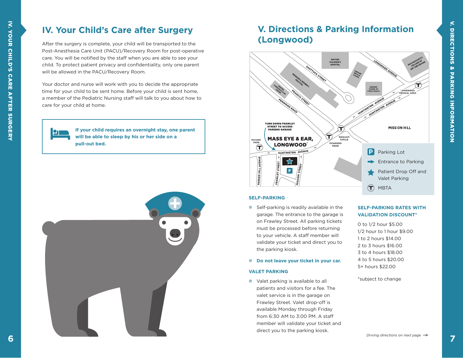# **IV. Your Child's Care after Surgery**

After the surgery is complete, your child will be transported to the Post-Anesthesia Care Unit (PACU)/Recovery Room for post-operative care. You will be notified by the staff when you are able to see your child. To protect patient privacy and confidentiality, only one parent will be allowed in the PACU/Recovery Room.

Your doctor and nurse will work with you to decide the appropriate time for your child to be sent home. Before your child is sent home, a member of the Pediatric Nursing staff will talk to you about how to care for your child at home.

> **If your child requires an overnight stay, one parent will be able to sleep by his or her side on a pull-out bed.**



# **V. Directions & Parking Information (Longwood)**



#### **SELF-PARKING**

Self-parking is readily available in the garage. The entrance to the garage is on Frawley Street. All parking tickets must be processed before returning to your vehicle. A staff member will validate your ticket and direct you to the parking kiosk.

### ■ **Do not leave your ticket in your car.**

#### **VALET PARKING**

■ Valet parking is available to all patients and visitors for a fee. The valet service is in the garage on Frawley Street. Valet drop-off is available Monday through Friday from 6:30 AM to 3:00 PM. A staff member will validate your ticket and direct you to the parking kiosk.

### **SELF-PARKING RATES WITH VALIDATION DISCOUNT\***

0 to 1/2 hour \$5.00 1/2 hour to 1 hour \$9.00 1 to 2 hours \$14.00 2 to 3 hours \$16.00 3 to 4 hours \$18.00 4 to 5 hours \$20.00 5+ hours \$22.00

### \*subject to change

Р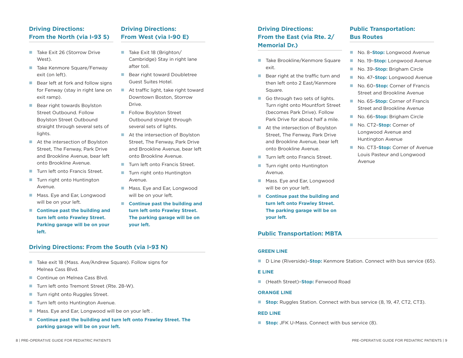### **Driving Directions: From the North (via I-93 S)**

- Take Exit 26 (Storrow Drive West).
- Take Kenmore Square/Fenway exit (on left).
- **Bear left at fork and follow signs** for Fenway (stay in right lane on exit ramp).
- **Bear right towards Boylston** Street Outbound. Follow Boylston Street Outbound straight through several sets of lights.
- At the intersection of Boylston Street, The Fenway, Park Drive and Brookline Avenue, bear left onto Brookline Avenue.
- Turn left onto Francis Street.
- Turn right onto Huntington Avenue.
- **Mass. Eye and Ear, Longwood** will be on your left.
- Continue past the building and **turn left onto Frawley Street. Parking garage will be on your left.**

# **Driving Directions: From West (via I-90 E)**

- $\blacksquare$  Take Exit 18 (Brighton/ Cambridge) Stay in right lane after toll.
- Bear right toward Doubletree Guest Suites Hotel.
- At traffic light, take right toward Downtown Boston, Storrow Drive.
- **Follow Boylston Street** Outbound straight through several sets of lights.
- At the intersection of Boylston Street, The Fenway, Park Drive and Brookline Avenue, bear left onto Brookline Avenue.
- Turn left onto Francis Street.
	- Turn right onto Huntington Avenue.
	- **Mass. Eye and Ear, Longwood** will be on your left.
	- Continue past the building and **turn left onto Frawley Street. The parking garage will be on your left.**

### **Driving Directions: From the South (via I-93 N)**

- Take exit 18 (Mass. Ave/Andrew Square). Follow signs for Melnea Cass Blvd.
- Continue on Melnea Cass Blvd.
- Turn left onto Tremont Street (Rte. 28-W).
- Turn right onto Ruggles Street.
- **Turn left onto Huntington Avenue.**
- Mass. Eye and Ear, Longwood will be on your left.
- Continue past the building and turn left onto Frawley Street. The **parking garage will be on your left.**

### **Driving Directions: From the East (via Rte. 2/ Memorial Dr.)**

- Take Brookline/Kenmore Square exit.
- $\blacksquare$  Bear right at the traffic turn and then left onto 2 East/Kenmore Square.
- Go through two sets of lights. Turn right onto Mountfort Street (becomes Park Drive). Follow Park Drive for about half a mile.
- At the intersection of Boylston Street, The Fenway, Park Drive and Brookline Avenue, bear left onto Brookline Avenue.
- Turn left onto Francis Street.
- Turn right onto Huntington Avenue.
- **Mass. Eye and Ear, Longwood** will be on your left.
- Continue past the building and **turn left onto Frawley Street. The parking garage will be on your left.**

### **Public Transportation: MBTA**

#### **GREEN LINE**

■ D Line (Riverside)-**Stop:** Kenmore Station. Connect with bus service (65).

#### **E LINE**

■ (Heath Street)**-Stop:** Fenwood Road

#### **ORANGE LINE**

**Stop:** Ruggles Station. Connect with bus service (8, 19, 47, CT2, CT3).

### **RED LINE**

**Stop:** JFK U-Mass. Connect with bus service (8).

# **Public Transportation: Bus Routes**

- No. 8-**Stop:** Longwood Avenue
- No. 19-**Stop:** Longwood Avenue
- No. 39-**Stop:** Brigham Circle
- No. 47-**Stop:** Longwood Avenue
- No. 60-**Stop:** Corner of Francis Street and Brookline Avenue
- No. 65**-Stop:** Corner of Francis Street and Brookline Avenue
- No. 66-**Stop:** Brigham Circle
- No. CT2-**Stop:** Corner of Longwood Avenue and Huntington Avenue
- No. CT3-**Stop:** Corner of Avenue Louis Pasteur and Longwood Avenue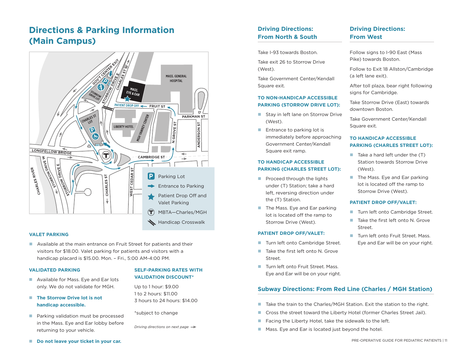# **Directions & Parking Information (Main Campus)**



#### **VALET PARKING**

 Available at the main entrance on Fruit Street for patients and their visitors for \$18.00. Valet parking for patients and visitors with a handicap placard is \$15.00. Mon. – Fri., 5:00 AM-4:00 PM.

#### **VALIDATED PARKING**

- Available for Mass. Eye and Ear lots only. We do not validate for MGH.
- The Storrow Drive lot is not **handicap accessible.**
- **Parking validation must be processed** in the Mass. Eye and Ear lobby before returning to your vehicle.

### **SELF-PARKING RATES WITH VALIDATION DISCOUNT\***

Up to 1 hour: \$9.00 1 to 2 hours: \$11.00 3 hours to 24 hours: \$14.00

\*subject to change

*Driving directions on next page* 

### **Driving Directions: From North & South**

Take I-93 towards Boston.

Take exit 26 to Storrow Drive (West).

Take Government Center/Kendall Square exit.

### **TO NON-HANDICAP ACCESSIBLE PARKING (STORROW DRIVE LOT):**

- Stay in left lane on Storrow Drive (West).
- $\blacksquare$  Entrance to parking lot is immediately before approaching Government Center/Kendall Square exit ramp.

### **TO HANDICAP ACCESSIBLE PARKING (CHARLES STREET LOT):**

- **Proceed through the lights** under (T) Station; take a hard left, reversing direction under the (T) Station.
- The Mass. Eye and Ear parking lot is located off the ramp to Storrow Drive (West).

#### **PATIENT DROP OFF/VALET:**

- Turn left onto Cambridge Street.
- $\blacksquare$  Take the first left onto N. Grove Street.
- Turn left onto Fruit Street. Mass. Eye and Ear will be on your right.

### **Driving Directions: From West**

Follow signs to I-90 East (Mass Pike) towards Boston.

Follow to Exit 18 Allston/Cambridge (a left lane exit).

After toll plaza, bear right following signs for Cambridge.

Take Storrow Drive (East) towards downtown Boston.

Take Government Center/Kendall Square exit.

### **TO HANDICAP ACCESSIBLE PARKING (CHARLES STREET LOT):**

- $\blacksquare$  Take a hard left under the  $(T)$ Station towards Storrow Drive (West).
- The Mass. Eye and Ear parking lot is located off the ramp to Storrow Drive (West).

#### **PATIENT DROP OFF/VALET:**

- Turn left onto Cambridge Street.
- Take the first left onto N. Grove Street.
- Turn left onto Fruit Street. Mass. Eye and Ear will be on your right.

### **Subway Directions: From Red Line (Charles / MGH Station)**

- Take the train to the Charles/MGH Station. Exit the station to the right.
- Cross the street toward the Liberty Hotel (former Charles Street Jail).
- Facing the Liberty Hotel, take the sidewalk to the left.
- **Mass. Eye and Ear is located just beyond the hotel.**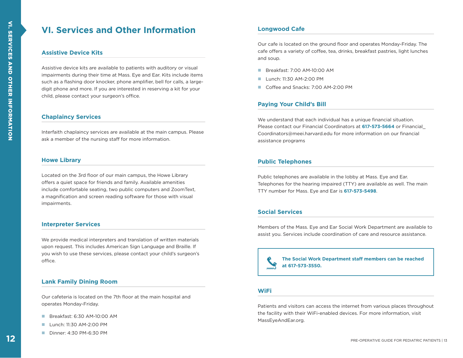# **VI. Services and Other Information**

### **Assistive Device Kits**

Assistive device kits are available to patients with auditory or visual impairments during their time at Mass. Eye and Ear. Kits include items such as a flashing door knocker, phone amplifier, bell for calls, a largedigit phone and more. If you are interested in reserving a kit for your child, please contact your surgeon's office.

### **Chaplaincy Services**

Interfaith chaplaincy services are available at the main campus. Please ask a member of the nursing staff for more information.

### **Howe Library**

Located on the 3rd floor of our main campus, the Howe Library offers a quiet space for friends and family. Available amenities include comfortable seating, two public computers and ZoomText, a magnification and screen reading software for those with visual impairments.

### **Interpreter Services**

We provide medical interpreters and translation of written materials upon request. This includes American Sign Language and Braille. If you wish to use these services, please contact your child's surgeon's office.

### **Lank Family Dining Room**

Our cafeteria is located on the 7th floor at the main hospital and operates Monday-Friday.

- Breakfast: 6:30 AM-10:00 AM
- $\blacksquare$  Lunch: 11:30 AM-2:00 PM
- Dinner: 4:30 PM-6:30 PM

### **Longwood Cafe**

Our cafe is located on the ground floor and operates Monday-Friday. The cafe offers a variety of coffee, tea, drinks, breakfast pastries, light lunches and soup.

- **Breakfast: 7:00 AM-10:00 AM**
- $\blacksquare$  Lunch: 11:30 AM-2:00 PM
- Coffee and Snacks: 7:00 AM-2:00 PM

### **Paying Your Child's Bill**

We understand that each individual has a unique financial situation. Please contact our Financial Coordinators at **617-573-5664** or Financial\_ Coordinators@meei.harvard.edu for more information on our financial assistance programs

### **Public Telephones**

Public telephones are available in the lobby at Mass. Eye and Ear. Telephones for the hearing impaired (TTY) are available as well. The main TTY number for Mass. Eye and Ear is **617-573-5498**.

### **Social Services**

Members of the Mass. Eye and Ear Social Work Department are available to assist you. Services include coordination of care and resource assistance.

**The Social Work Department staff members can be reached at 617-573-3550.**

### **WiFi**

Patients and visitors can access the internet from various places throughout the facility with their WiFi-enabled devices. For more information, visit MassEyeAndEar.org.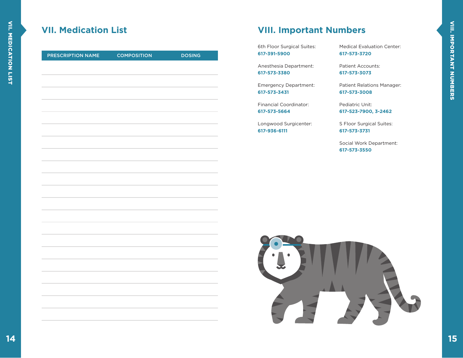# **VII. Medication List**

| PRESCRIPTION NAME | <b>COMPOSITION</b> | <b>DOSING</b> |
|-------------------|--------------------|---------------|
|                   |                    |               |
|                   |                    |               |
|                   |                    |               |
|                   |                    |               |
|                   |                    |               |
|                   |                    |               |
|                   |                    |               |
|                   |                    |               |
|                   |                    |               |
|                   |                    |               |
|                   |                    |               |
|                   |                    |               |
|                   |                    |               |
|                   |                    |               |
|                   |                    |               |
|                   |                    |               |
|                   |                    |               |
|                   |                    |               |
|                   |                    |               |
|                   |                    |               |
|                   |                    |               |
|                   |                    |               |
|                   |                    |               |
|                   |                    |               |
|                   |                    |               |
|                   |                    |               |
|                   |                    |               |

# **VIII. Important Numbers**

6th Floor Surgical Suites: **617-391-5900**

Anesthesia Department: **617-573-3380**

Emergency Department: **617-573-3431**

Financial Coordinator: **617-573-5664**

Longwood Surgicenter: **617-936-6111**

Medical Evaluation Center: **617-573-3720**

Patient Accounts: **617-573-3073**

Patient Relations Manager: **617-573-3008**

Pediatric Unit: **617-523-7900, 3-2462**

S Floor Surgical Suites: **617-573-3731**

Social Work Department: **617-573-3550**

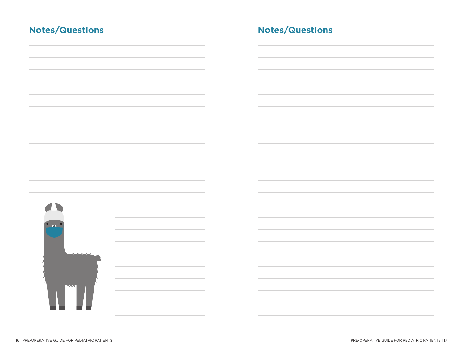| <b>Notes/Questions</b> |  | <b>Notes/Questions</b> |
|------------------------|--|------------------------|
|                        |  |                        |
|                        |  |                        |
|                        |  |                        |
|                        |  |                        |
|                        |  |                        |
|                        |  |                        |
| $\bullet$              |  |                        |
|                        |  |                        |
|                        |  |                        |
|                        |  |                        |
|                        |  |                        |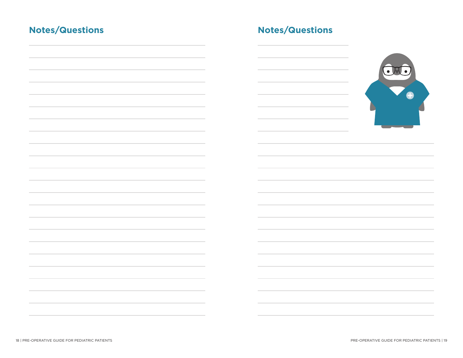# **Notes/Questions Notes/Questions**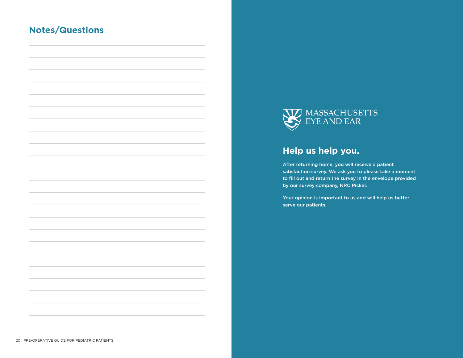# **Notes/Questions**



# **Help us help you.**

After returning home, you will receive a patient satisfaction survey. We ask you to please take a moment to fill out and return the survey in the envelope provided by our survey company, NRC Picker.

Your opinion is important to us and will help us better serve our patients.